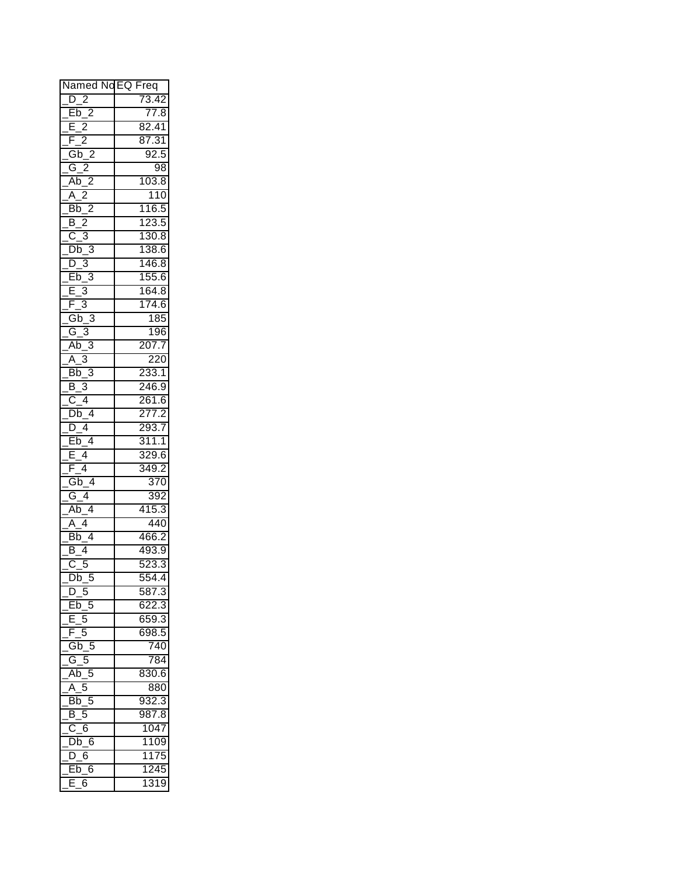| Named NoEQ Freq                                   |              |
|---------------------------------------------------|--------------|
| $D_2$                                             | 73.42        |
|                                                   | 77.8         |
| Eb_2<br>E_2                                       | 82.41        |
| $\overline{2}$<br>F                               | 87.31        |
| $Gb_2$                                            | 92.5         |
| $G_2$                                             | 98           |
| $\overline{2}$<br>Ab_                             | 103.8        |
| $A_2$                                             | 110          |
| $\overline{\text{Bb}}_2$                          | 116.5        |
| B 2                                               | 123.5        |
| $C_3$                                             | 130.8        |
| $Db_3$                                            | 138.6        |
| $\frac{\frac{6}{10}}{\frac{5}{10}} = \frac{1}{2}$ | 146.8        |
|                                                   |              |
|                                                   | 155.6        |
|                                                   | <u>164.8</u> |
| $F_3$                                             | 174.6        |
| $Gb_3$                                            | 185          |
| $G_3$                                             | 196          |
| $Ab_3$                                            | 207.7        |
| $A_3$                                             | 220          |
| $Bb_3$                                            | 233.1        |
| $B_3$                                             | 246.9        |
| $C_4$                                             | 261.6        |
| $Db_4$                                            | 277.2        |
| D 4                                               | 293.7        |
| $Eb_4$                                            | 311.1        |
| $\frac{1}{2}$ 4<br>Ē                              | 329.6        |
| $F_4$                                             | 349.2        |
| $Gb_4$                                            | 370          |
| $G_4$                                             | 392          |
| $\overline{\overline{\mathsf{Ab}}_{-4}}$          | 415.3        |
| $A_4$                                             | 440          |
| $\overline{\text{Bb}_-4}$                         | 466.2        |
| $\overline{4}$<br>$\overline{\mathsf{B}}$         | 493.9        |
| $\overline{C}$<br>5                               | 523.3        |
| $Db_5$                                            | 554.4        |
| $D_{5}$                                           | 587.3        |
| Eb <sub>5</sub>                                   | 622.3        |
| 5<br>Е                                            | 659.3        |
| F<br>5                                            | 698.5        |
|                                                   |              |
| $Gb_5$                                            | 740          |
| $G_5$                                             | 784          |
| $Ab_5$                                            | 830.6        |
| $A_5$                                             | 880          |
| $Bb$ 5                                            | 932.3        |
| B <sub>5</sub>                                    | 987.8        |
| $C_6$                                             | 1047         |
| $Db_6$                                            | 1109         |
| $D_6$                                             | 1175         |
| $\overline{\textsf{Eb}}_{-}6$                     | 1245         |
| E<br>6                                            | 1319         |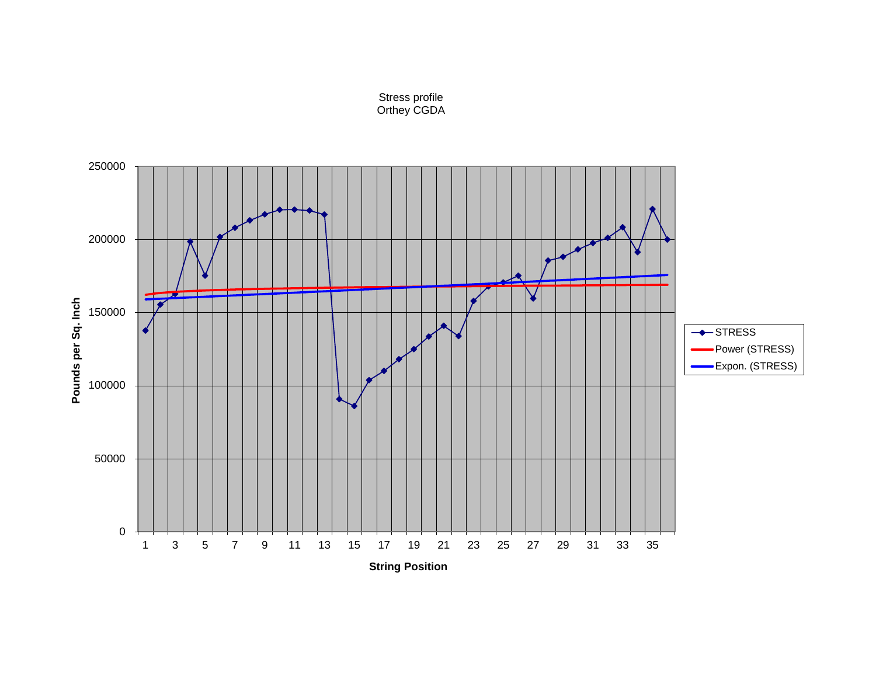

Stress profile Orthey CGDA

**String Position**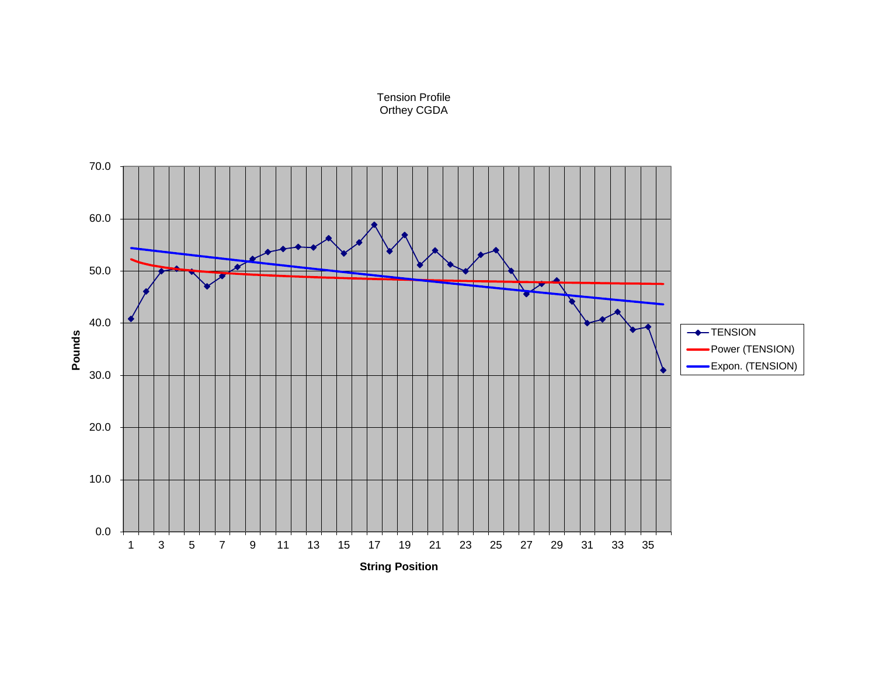

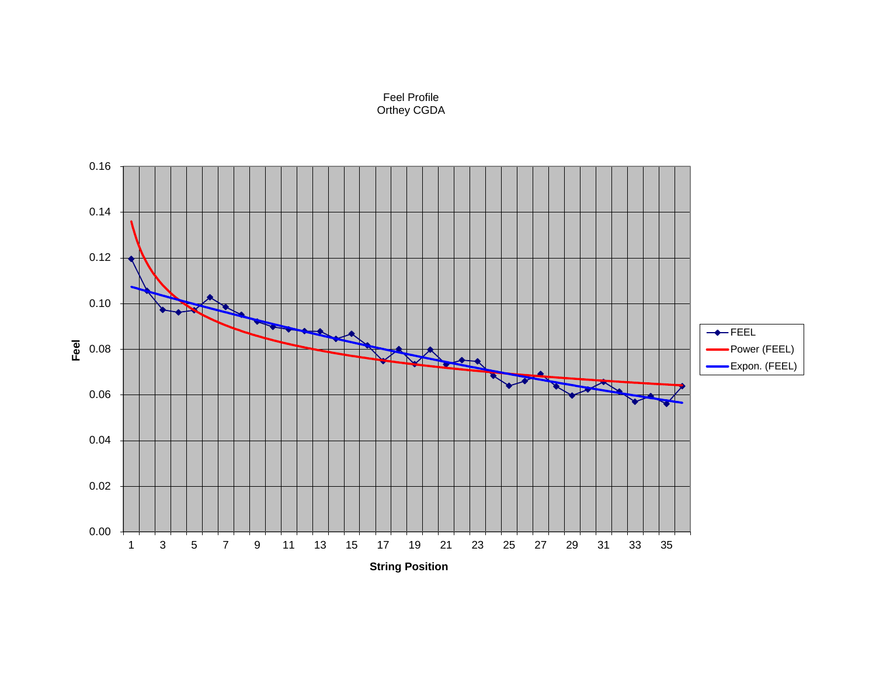

Feel Profile Orthey CGDA